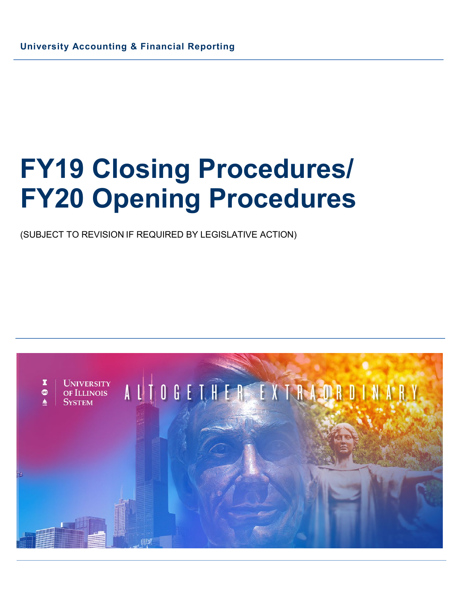(SUBJECT TO REVISION IF REQUIRED BY LEGISLATIVE ACTION)

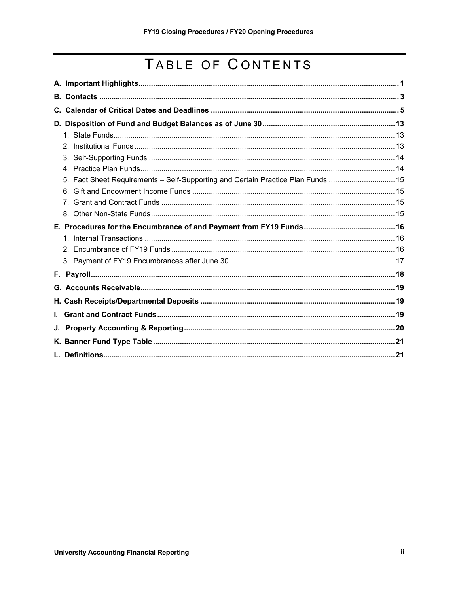# TABLE OF CONTENTS

| 5. Fact Sheet Requirements - Self-Supporting and Certain Practice Plan Funds  15 |  |
|----------------------------------------------------------------------------------|--|
|                                                                                  |  |
|                                                                                  |  |
|                                                                                  |  |
|                                                                                  |  |
|                                                                                  |  |
|                                                                                  |  |
|                                                                                  |  |
|                                                                                  |  |
|                                                                                  |  |
|                                                                                  |  |
|                                                                                  |  |
| L.                                                                               |  |
|                                                                                  |  |
|                                                                                  |  |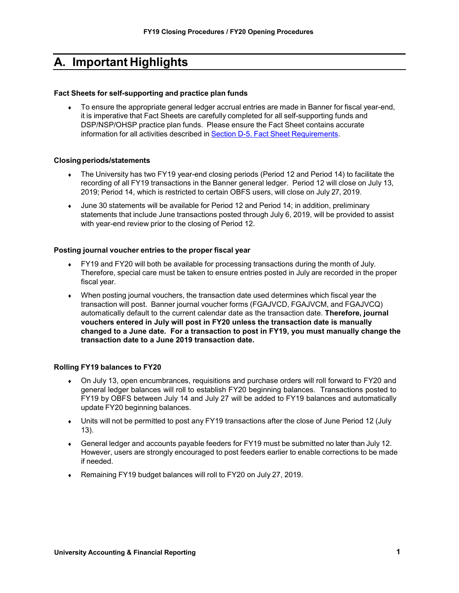# <span id="page-2-0"></span>**A. Important Highlights**

#### **Fact Sheets for self-supporting and practice plan funds**

To ensure the appropriate general ledger accrual entries are made in Banner for fiscal year-end, it is imperative that Fact Sheets are carefully completed for all self-supporting funds and DSP/NSP/OHSP practice plan funds. Please ensure the Fact Sheet contains accurate information for all activities described in Section D-5. Fact Sheet [Requirements.](#page-16-0)

#### **Closingperiods/statements**

- The University has two FY19 year-end closing periods (Period 12 and Period 14) to facilitate the recording of all FY19 transactions in the Banner general ledger. Period 12 will close on July 13, 2019; Period 14, which is restricted to certain OBFS users, will close on July 27, 2019.
- ♦ June 30 statements will be available for Period 12 and Period 14; in addition, preliminary statements that include June transactions posted through July 6, 2019, will be provided to assist with year-end review prior to the closing of Period 12.

#### **Posting journal voucher entries to the proper fiscal year**

- ♦ FY19 and FY20 will both be available for processing transactions during the month of July. Therefore, special care must be taken to ensure entries posted in July are recorded in the proper fiscal year.
- ♦ When posting journal vouchers, the transaction date used determines which fiscal year the transaction will post. Banner journal voucher forms (FGAJVCD, FGAJVCM, and FGAJVCQ) automatically default to the current calendar date as the transaction date. **Therefore, journal vouchers entered in July will post in FY20 unless the transaction date is manually changed to a June date. For a transaction to post in FY19, you must manually change the transaction date to a June 2019 transaction date.**

#### **Rolling FY19 balances to FY20**

- ♦ On July 13, open encumbrances, requisitions and purchase orders will roll forward to FY20 and general ledger balances will roll to establish FY20 beginning balances. Transactions posted to FY19 by OBFS between July 14 and July 27 will be added to FY19 balances and automatically update FY20 beginning balances.
- ♦ Units will not be permitted to post any FY19 transactions after the close of June Period 12 (July 13).
- ♦ General ledger and accounts payable feeders for FY19 must be submitted no later than July 12. However, users are strongly encouraged to post feeders earlier to enable corrections to be made if needed.
- ♦ Remaining FY19 budget balances will roll to FY20 on July 27, 2019.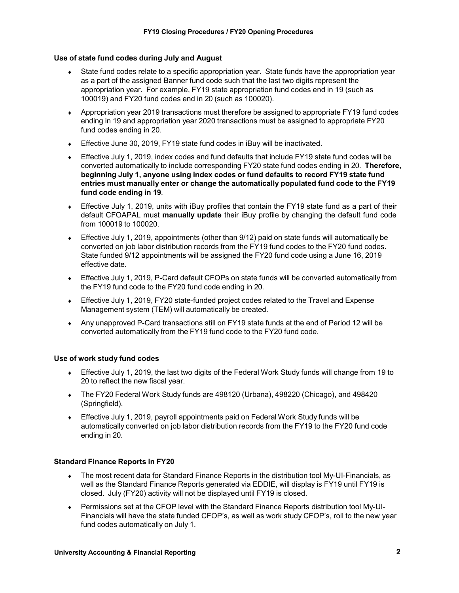#### **Use of state fund codes during July and August**

- State fund codes relate to a specific appropriation year. State funds have the appropriation year as a part of the assigned Banner fund code such that the last two digits represent the appropriation year. For example, FY19 state appropriation fund codes end in 19 (such as 100019) and FY20 fund codes end in 20 (such as 100020).
- ♦ Appropriation year 2019 transactions must therefore be assigned to appropriate FY19 fund codes ending in 19 and appropriation year 2020 transactions must be assigned to appropriate FY20 fund codes ending in 20.
- ♦ Effective June 30, 2019, FY19 state fund codes in iBuy will be inactivated.
- ♦ Effective July 1, 2019, index codes and fund defaults that include FY19 state fund codes will be converted automatically to include corresponding FY20 state fund codes ending in 20. **Therefore, beginning July 1, anyone using index codes or fund defaults to record FY19 state fund entries must manually enter or change the automatically populated fund code to the FY19 fund code ending in 19**.
- ♦ Effective July 1, 2019, units with iBuy profiles that contain the FY19 state fund as a part of their default CFOAPAL must **manually update** their iBuy profile by changing the default fund code from 100019 to 100020.
- ♦ Effective July 1, 2019, appointments (other than 9/12) paid on state funds will automatically be converted on job labor distribution records from the FY19 fund codes to the FY20 fund codes. State funded 9/12 appointments will be assigned the FY20 fund code using a June 16, 2019 effective date.
- ♦ Effective July 1, 2019, P-Card default CFOPs on state funds will be converted automatically from the FY19 fund code to the FY20 fund code ending in 20.
- Effective July 1, 2019, FY20 state-funded project codes related to the Travel and Expense Management system (TEM) will automatically be created.
- ♦ Any unapproved P-Card transactions still on FY19 state funds at the end of Period 12 will be converted automatically from the FY19 fund code to the FY20 fund code.

#### **Use of work study fund codes**

- ♦ Effective July 1, 2019, the last two digits of the Federal Work Study funds will change from 19 to 20 to reflect the new fiscal year.
- The FY20 Federal Work Study funds are 498120 (Urbana), 498220 (Chicago), and 498420 (Springfield).
- ♦ Effective July 1, 2019, payroll appointments paid on Federal Work Study funds will be automatically converted on job labor distribution records from the FY19 to the FY20 fund code ending in 20.

#### **Standard Finance Reports in FY20**

- ♦ The most recent data for Standard Finance Reports in the distribution tool My-UI-Financials, as well as the Standard Finance Reports generated via EDDIE, will display is FY19 until FY19 is closed. July (FY20) activity will not be displayed until FY19 is closed.
- ♦ Permissions set at the CFOP level with the Standard Finance Reports distribution tool My-UI-Financials will have the state funded CFOP's, as well as work study CFOP's, roll to the new year fund codes automatically on July 1.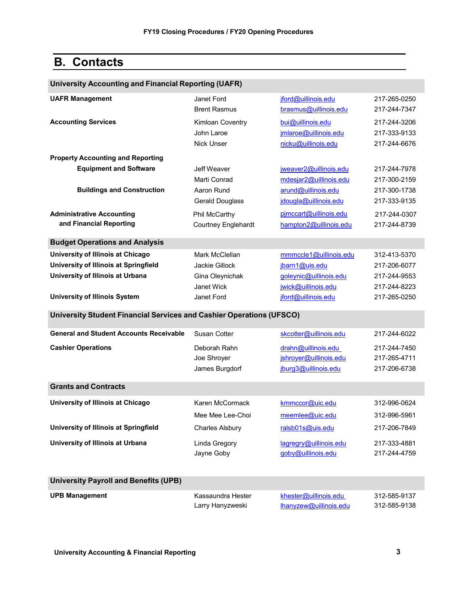# <span id="page-4-0"></span>**B. Contacts**

| <b>University Accounting and Financial Reporting (UAFR)</b>          |                                                     |                                              |                                              |  |
|----------------------------------------------------------------------|-----------------------------------------------------|----------------------------------------------|----------------------------------------------|--|
| <b>UAFR Management</b>                                               | Janet Ford<br><b>Brent Rasmus</b>                   | jford@uillinois.edu<br>brasmus@uillinois.edu | 217-265-0250<br>217-244-7347                 |  |
| <b>Accounting Services</b>                                           | Kimloan Coventry<br>John Laroe<br><b>Nick Unser</b> | bui@uillinois.edu<br>jmlaroe@uillinois.edu   | 217-244-3206<br>217-333-9133<br>217-244-6676 |  |
|                                                                      |                                                     | nicku@uillinois.edu                          |                                              |  |
| <b>Property Accounting and Reporting</b>                             |                                                     |                                              |                                              |  |
| <b>Equipment and Software</b>                                        | Jeff Weaver                                         | jweaver2@uillinois.edu                       | 217-244-7978                                 |  |
|                                                                      | Marti Conrad                                        | mdesjar2@uillinois.edu                       | 217-300-2159                                 |  |
| <b>Buildings and Construction</b>                                    | Aaron Rund                                          | arund@uillinois.edu<br>idougla@uillinois.edu | 217-300-1738<br>217-333-9135                 |  |
|                                                                      | <b>Gerald Douglass</b>                              |                                              |                                              |  |
| <b>Administrative Accounting</b><br>and Financial Reporting          | Phil McCarthy                                       | pimccart@uillinois.edu                       | 217-244-0307                                 |  |
|                                                                      | <b>Courtney Englehardt</b>                          | hampton2@uillinois.edu                       | 217-244-8739                                 |  |
| <b>Budget Operations and Analysis</b>                                |                                                     |                                              |                                              |  |
| University of Illinois at Chicago                                    | Mark McClellan                                      | mmmccle1@uillinois.edu                       | 312-413-5370                                 |  |
| University of Illinois at Springfield                                | <b>Jackie Gillock</b>                               | jbarn1@uis.edu                               | 217-206-6077                                 |  |
| University of Illinois at Urbana                                     | Gina Oleynichak                                     | goleynic@uillinois.edu                       | 217-244-9553                                 |  |
|                                                                      | Janet Wick                                          | jwick@uillinois.edu                          | 217-244-8223                                 |  |
| <b>University of Illinois System</b>                                 | Janet Ford                                          | jford@uillinois.edu                          | 217-265-0250                                 |  |
| University Student Financial Services and Cashier Operations (UFSCO) |                                                     |                                              |                                              |  |
| <b>General and Student Accounts Receivable</b>                       | Susan Cotter                                        | skcotter@uillinois.edu                       | 217-244-6022                                 |  |
| <b>Cashier Operations</b>                                            | Deborah Rahn                                        | drahn@uillinois.edu                          | 217-244-7450                                 |  |
|                                                                      | Joe Shroyer                                         | jshroyer@uillinois.edu                       | 217-265-4711                                 |  |
|                                                                      | James Burgdorf                                      | jburg3@uillinois.edu                         | 217-206-6738                                 |  |
| <b>Grants and Contracts</b>                                          |                                                     |                                              |                                              |  |
| University of Illinois at Chicago                                    | Karen McCormack                                     | krnmccor@uic.edu                             | 312-996-0624                                 |  |
|                                                                      | Mee Mee Lee-Choi                                    | meemlee@uic.edu                              | 312-996-5961                                 |  |
| University of Illinois at Springfield                                | <b>Charles Alsbury</b>                              | ralsb01s@uis.edu                             | 217-206-7849                                 |  |
| University of Illinois at Urbana                                     | Linda Gregory<br>Jayne Goby                         | lagregry@uillinois.edu<br>goby@uillinois.edu | 217-333-4881<br>217-244-4759                 |  |
| <b>University Payroll and Benefits (UPB)</b>                         |                                                     |                                              |                                              |  |
| <b>UPB Management</b>                                                | Kassaundra Hester                                   | khester@uillinois.edu                        | 312-585-9137                                 |  |
|                                                                      | Larry Hanyzweski                                    | lhanyzew@uillinois.edu                       | 312-585-9138                                 |  |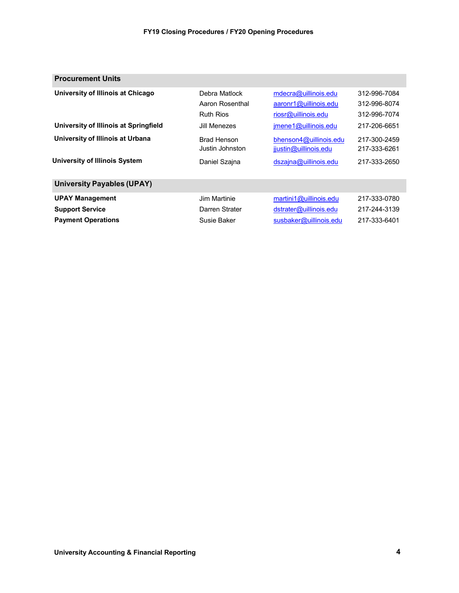| <b>Procurement Units</b>              |                                                      |                                                                      |                                              |
|---------------------------------------|------------------------------------------------------|----------------------------------------------------------------------|----------------------------------------------|
| University of Illinois at Chicago     | Debra Matlock<br>Aaron Rosenthal<br><b>Ruth Rios</b> | mdecra@uillinois.edu<br>aaronr1@uillinois.edu<br>riosr@uillinois.edu | 312-996-7084<br>312-996-8074<br>312-996-7074 |
| University of Illinois at Springfield | Jill Menezes                                         | imene1@uillinois.edu                                                 | 217-206-6651                                 |
| University of Illinois at Urbana      | <b>Brad Henson</b><br>Justin Johnston                | bhenson $4@$ uillinois.edu<br>jjustin@uillinois.edu                  | 217-300-2459<br>217-333-6261                 |
| University of Illinois System         | Daniel Szajna                                        | dszajna@uillinois.edu                                                | 217-333-2650                                 |
| <b>University Payables (UPAY)</b>     |                                                      |                                                                      |                                              |
| <b>UPAY Management</b>                | Jim Martinie                                         | martini1@uillinois.edu                                               | 217-333-0780                                 |
| <b>Support Service</b>                | Darren Strater                                       | dstrater@uillinois.edu                                               | 217-244-3139                                 |
| <b>Payment Operations</b>             | Susie Baker                                          | susbaker@uillinois.edu                                               | 217-333-6401                                 |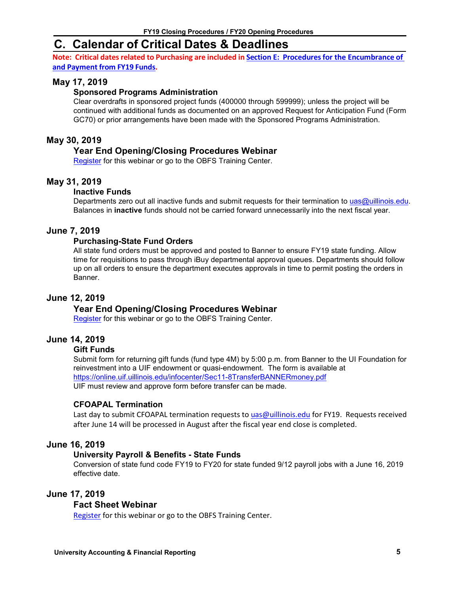# <span id="page-6-0"></span>**C. Calendar of Critical Dates & Deadlines**

**Note:** Critical dates related to Purchasing are included in **Section E:** Procedures for [the Encumbrance](#page-17-1) of **and [Payment](#page-17-1) from FY19 Funds.**

#### **May 17, 2019**

#### **Sponsored Programs Administration**

Clear overdrafts in sponsored project funds (400000 through 599999); unless the project will be continued with additional funds as documented on an approved Request for Anticipation Fund (Form GC70) or prior arrangements have been made with the Sponsored Programs Administration.

#### **May 30, 2019**

#### **Year End Opening/Closing Procedures Webinar**

[Register](https://www.obfs.uillinois.edu/training/webinars) for this webinar or go to the OBFS Training Center.

#### **May 31, 2019**

#### **Inactive Funds**

Departments zero out all inactive funds and submit requests for their termination to [uas@uillinois.edu.](mailto:uas@uillinois.edu) Balances in **inactive** funds should not be carried forward unnecessarily into the next fiscal year.

#### **June 7, 2019**

#### **Purchasing-State Fund Orders**

All state fund orders must be approved and posted to Banner to ensure FY19 state funding. Allow time for requisitions to pass through iBuy departmental approval queues. Departments should follow up on all orders to ensure the department executes approvals in time to permit posting the orders in Banner.

#### **June 12, 2019**

#### **Year End Opening/Closing Procedures Webinar**

[Register](https://www.obfs.uillinois.edu/training/webinars) for this webinar or go to the OBFS Training Center.

#### **June 14, 2019**

#### **Gift Funds**

Submit form for returning gift funds (fund type 4M) by 5:00 p.m. from Banner to the UI Foundation for reinvestment into a UIF endowment or quasi-endowment. The form is available at <https://online.uif.uillinois.edu/infocenter/Sec11-8TransferBANNERmoney.pdf> UIF must review and approve form before transfer can be made.

#### **CFOAPAL Termination**

Last day to submit CFOAPAL termination requests t[o uas@uillinois.edu](mailto:uas@uillinois.edu) for FY19. Requests received after June 14 will be processed in August after the fiscal year end close is completed.

#### **June 16, 2019**

#### **University Payroll & Benefits - State Funds**

Conversion of state fund code FY19 to FY20 for state funded 9/12 payroll jobs with a June 16, 2019 effective date.

#### **June 17, 2019**

#### **Fact Sheet Webinar**

[Register](https://www.obfs.uillinois.edu/training/webinars) for this webinar or go to the OBFS Training Center.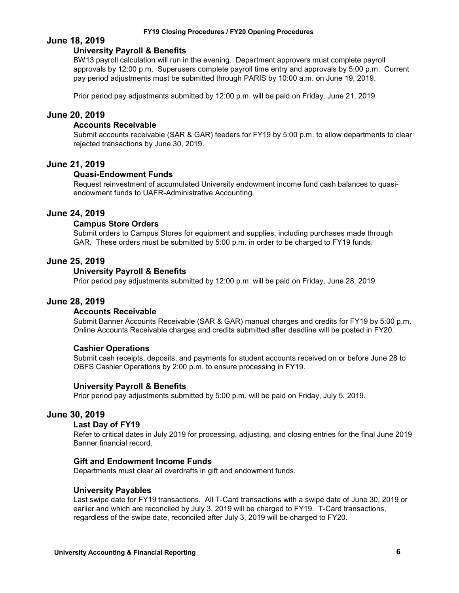#### **June 18, 2019**

#### **University Payroll & Benefits**

BW13 payroll calculation will run in the evening. Department approvers must complete payroll approvals by 12:00 p.m. Superusers complete payroll time entry and approvals by 5:00 p.m. Current pay period adjustments must be submitted through PARIS by 10:00 a.m. on June 19, 2019.

Prior period pay adjustments submitted by 12:00 p.m. will be paid on Friday, June 21, 2019.

#### **June 20, 2019**

#### **Accounts Receivable**

Submit accounts receivable (SAR & GAR) feeders for FY19 by 5:00 p.m. to allow departments to clear rejected transactions by June 30, 2019.

#### **June 21, 2019**

#### **Quasi-Endowment Funds**

Request reinvestment of accumulated University endowment income fund cash balances to quasiendowment funds to UAFR-Administrative Accounting.

#### **June 24, 2019**

#### **Campus Store Orders**

Submit orders to Campus Stores for equipment and supplies, including purchases made through GAR. These orders must be submitted by 5:00 p.m. in order to be charged to FY19 funds.

#### **June 25, 2019**

#### **University Payroll & Benefits**

Prior period pay adjustments submitted by 12:00 p.m. will be paid on Friday, June 28, 2019.

#### **June 28, 2019**

#### **Accounts Receivable**

Submit Banner Accounts Receivable (SAR & GAR) manual charges and credits for FY19 by 5:00 p.m. Online Accounts Receivable charges and credits submitted after deadline will be posted in FY20.

#### **Cashier Operations**

Submit cash receipts, deposits, and payments for student accounts received on or before June 28 to OBFS Cashier Operations by 2:00 p.m. to ensure processing in FY19.

#### **University Payroll & Benefits**

Prior period pay adjustments submitted by 5:00 p.m. will be paid on Friday, July 5, 2019.

#### **June 30, 2019**

#### **Last Day of FY19**

Refer to critical dates in July 2019 for processing, adjusting, and closing entries for the final June 2019 Banner financial record.

#### **Gift and Endowment Income Funds**

Departments must clear all overdrafts in gift and endowment funds.

#### **University Payables**

Last swipe date for FY19 transactions. All T-Card transactions with a swipe date of June 30, 2019 or earlier and which are reconciled by July 3, 2019 will be charged to FY19. T-Card transactions, regardless of the swipe date, reconciled after July 3, 2019 will be charged to FY20.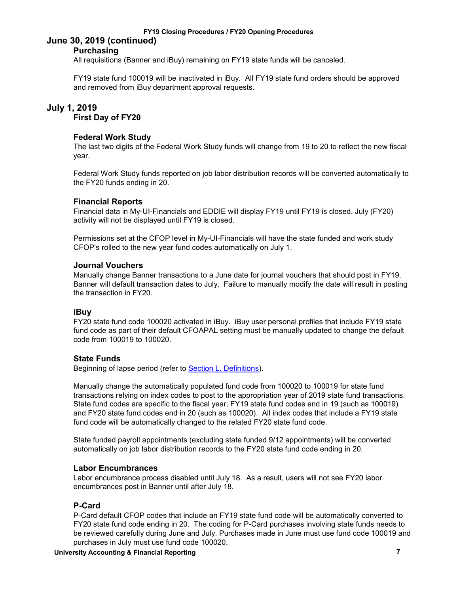#### **June 30, 2019 (continued) Purchasing**

All requisitions (Banner and iBuy) remaining on FY19 state funds will be canceled.

FY19 state fund 100019 will be inactivated in iBuy. All FY19 state fund orders should be approved and removed from iBuy department approval requests.

#### **July 1, 2019**

**First Day of FY20**

#### **Federal Work Study**

The last two digits of the Federal Work Study funds will change from 19 to 20 to reflect the new fiscal year.

Federal Work Study funds reported on job labor distribution records will be converted automatically to the FY20 funds ending in 20.

#### **Financial Reports**

Financial data in My-UI-Financials and EDDIE will display FY19 until FY19 is closed. July (FY20) activity will not be displayed until FY19 is closed.

Permissions set at the CFOP level in My-UI-Financials will have the state funded and work study CFOP's rolled to the new year fund codes automatically on July 1.

#### **Journal Vouchers**

Manually change Banner transactions to a June date for journal vouchers that should post in FY19. Banner will default transaction dates to July. Failure to manually modify the date will result in posting the transaction in FY20.

#### **iBuy**

FY20 state fund code 100020 activated in iBuy. iBuy user personal profiles that include FY19 state fund code as part of their default CFOAPAL setting must be manually updated to change the default code from 100019 to 100020.

#### **State Funds**

Beginning of lapse period (refer to [Section L. Definitions\)](#page-14-3).

Manually change the automatically populated fund code from 100020 to 100019 for state fund transactions relying on index codes to post to the appropriation year of 2019 state fund transactions. State fund codes are specific to the fiscal year; FY19 state fund codes end in 19 (such as 100019) and FY20 state fund codes end in 20 (such as 100020). All index codes that include a FY19 state fund code will be automatically changed to the related FY20 state fund code.

State funded payroll appointments (excluding state funded 9/12 appointments) will be converted automatically on job labor distribution records to the FY20 state fund code ending in 20.

#### **Labor Encumbrances**

Labor encumbrance process disabled until July 18. As a result, users will not see FY20 labor encumbrances post in Banner until after July 18.

#### **P-Card**

P-Card default CFOP codes that include an FY19 state fund code will be automatically converted to FY20 state fund code ending in 20. The coding for P-Card purchases involving state funds needs to be reviewed carefully during June and July. Purchases made in June must use fund code 100019 and purchases in July must use fund code 100020.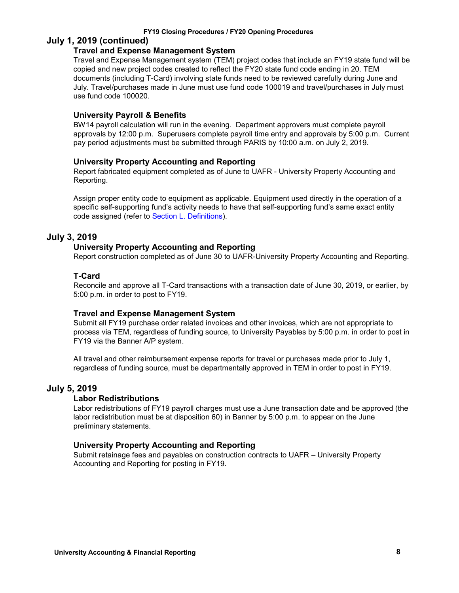#### **July 1, 2019 (continued)**

#### **Travel and Expense Management System**

Travel and Expense Management system (TEM) project codes that include an FY19 state fund will be copied and new project codes created to reflect the FY20 state fund code ending in 20. TEM documents (including T-Card) involving state funds need to be reviewed carefully during June and July. Travel/purchases made in June must use fund code 100019 and travel/purchases in July must use fund code 100020.

#### **University Payroll & Benefits**

BW14 payroll calculation will run in the evening. Department approvers must complete payroll approvals by 12:00 p.m. Superusers complete payroll time entry and approvals by 5:00 p.m. Current pay period adjustments must be submitted through PARIS by 10:00 a.m. on July 2, 2019.

#### **University Property Accounting and Reporting**

Report fabricated equipment completed as of June to UAFR - University Property Accounting and Reporting.

Assign proper entity code to equipment as applicable. Equipment used directly in the operation of a specific self-supporting fund's activity needs to have that self-supporting fund's same exact entity code assigned (refer to [Section L. Definitions\)](#page-14-3).

#### **July 3, 2019**

#### **University Property Accounting and Reporting**

Report construction completed as of June 30 to UAFR-University Property Accounting and Reporting.

#### **T-Card**

Reconcile and approve all T-Card transactions with a transaction date of June 30, 2019, or earlier, by 5:00 p.m. in order to post to FY19.

#### **Travel and Expense Management System**

Submit all FY19 purchase order related invoices and other invoices, which are not appropriate to process via TEM, regardless of funding source, to University Payables by 5:00 p.m. in order to post in FY19 via the Banner A/P system.

All travel and other reimbursement expense reports for travel or purchases made prior to July 1, regardless of funding source, must be departmentally approved in TEM in order to post in FY19.

#### **July 5, 2019**

#### **Labor Redistributions**

Labor redistributions of FY19 payroll charges must use a June transaction date and be approved (the labor redistribution must be at disposition 60) in Banner by 5:00 p.m. to appear on the June preliminary statements.

#### **University Property Accounting and Reporting**

Submit retainage fees and payables on construction contracts to UAFR – University Property Accounting and Reporting for posting in FY19.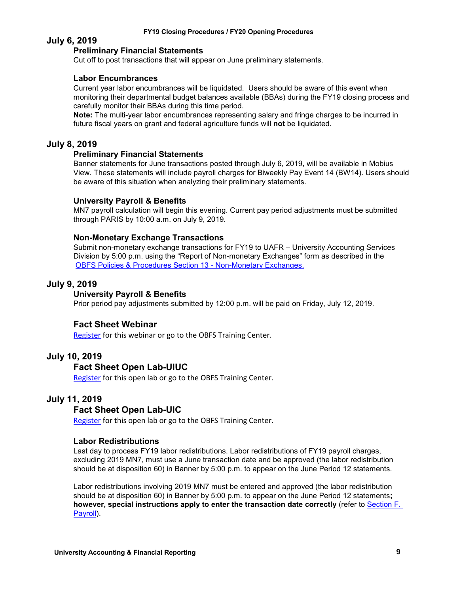#### **July 6, 2019**

#### **Preliminary Financial Statements**

Cut off to post transactions that will appear on June preliminary statements.

#### **Labor Encumbrances**

Current year labor encumbrances will be liquidated. Users should be aware of this event when monitoring their departmental budget balances available (BBAs) during the FY19 closing process and carefully monitor their BBAs during this time period.

**Note:** The multi-year labor encumbrances representing salary and fringe charges to be incurred in future fiscal years on grant and federal agriculture funds will **not** be liquidated.

#### **July 8, 2019**

#### **Preliminary Financial Statements**

Banner statements for June transactions posted through July 6, 2019, will be available in Mobius View. These statements will include payroll charges for Biweekly Pay Event 14 (BW14). Users should be aware of this situation when analyzing their preliminary statements.

#### **University Payroll & Benefits**

MN7 payroll calculation will begin this evening. Current pay period adjustments must be submitted through PARIS by 10:00 a.m. on July 9, 2019.

#### **Non-Monetary Exchange Transactions**

Submit non-monetary exchange transactions for FY19 to UAFR – University Accounting Services Division by 5:00 p.m. using the "Report of Non-monetary Exchanges" form as described in the [OBFS Policies & Procedures Section 13 - Non-Monetary Exchanges.](https://www.obfs.uillinois.edu/bfpp/section-13-accounting/non-monetary-exchanges)

#### **July 9, 2019**

#### **University Payroll & Benefits**

Prior period pay adjustments submitted by 12:00 p.m. will be paid on Friday, July 12, 2019.

#### **Fact Sheet Webinar**

[Register](https://www.obfs.uillinois.edu/training/webinars) for this webinar or go to the OBFS Training Center.

#### **July 10, 2019**

#### **Fact Sheet Open Lab-UIUC**

[Register](https://www.obfs.uillinois.edu/cms/One.aspx?portalId=77176&pageId=1229715) for this open lab or go to the OBFS Training Center.

#### **July 11, 2019**

#### **Fact Sheet Open Lab-UIC**

[Register](https://www.obfs.uillinois.edu/cms/One.aspx?portalId=77176&pageId=1229728) for this open lab or go to the OBFS Training Center.

#### **Labor Redistributions**

Last day to process FY19 labor redistributions. Labor redistributions of FY19 payroll charges, excluding 2019 MN7, must use a June transaction date and be approved (the labor redistribution should be at disposition 60) in Banner by 5:00 p.m. to appear on the June Period 12 statements.

Labor redistributions involving 2019 MN7 must be entered and approved (the labor redistribution should be at disposition 60) in Banner by 5:00 p.m. to appear on the June Period 12 statements**; however, special instructions apply to enter the transaction date correctly** (refer to [Section F.](#page-19-0)  [Payroll\)](#page-19-0).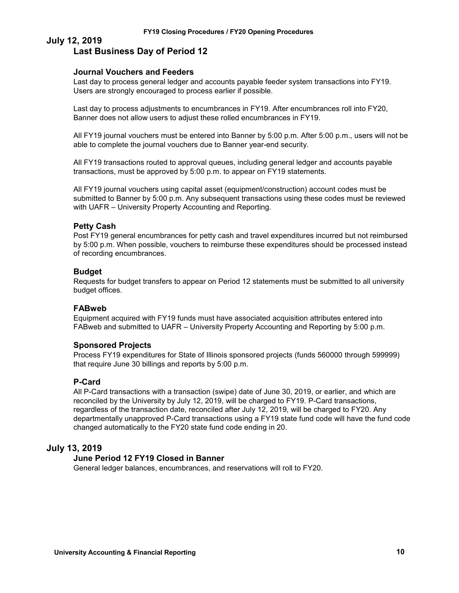#### **July 12, 2019 Last Business Day of Period 12**

#### **Journal Vouchers and Feeders**

Last day to process general ledger and accounts payable feeder system transactions into FY19. Users are strongly encouraged to process earlier if possible.

Last day to process adjustments to encumbrances in FY19. After encumbrances roll into FY20, Banner does not allow users to adjust these rolled encumbrances in FY19.

All FY19 journal vouchers must be entered into Banner by 5:00 p.m. After 5:00 p.m., users will not be able to complete the journal vouchers due to Banner year-end security.

All FY19 transactions routed to approval queues, including general ledger and accounts payable transactions, must be approved by 5:00 p.m. to appear on FY19 statements.

All FY19 journal vouchers using capital asset (equipment/construction) account codes must be submitted to Banner by 5:00 p.m. Any subsequent transactions using these codes must be reviewed with UAFR – University Property Accounting and Reporting.

#### **Petty Cash**

Post FY19 general encumbrances for petty cash and travel expenditures incurred but not reimbursed by 5:00 p.m. When possible, vouchers to reimburse these expenditures should be processed instead of recording encumbrances.

#### **Budget**

Requests for budget transfers to appear on Period 12 statements must be submitted to all university budget offices.

#### **FABweb**

Equipment acquired with FY19 funds must have associated acquisition attributes entered into FABweb and submitted to UAFR – University Property Accounting and Reporting by 5:00 p.m.

#### **Sponsored Projects**

Process FY19 expenditures for State of Illinois sponsored projects (funds 560000 through 599999) that require June 30 billings and reports by 5:00 p.m.

#### **P-Card**

All P-Card transactions with a transaction (swipe) date of June 30, 2019, or earlier, and which are reconciled by the University by July 12, 2019, will be charged to FY19. P-Card transactions, regardless of the transaction date, reconciled after July 12, 2019, will be charged to FY20. Any departmentally unapproved P-Card transactions using a FY19 state fund code will have the fund code changed automatically to the FY20 state fund code ending in 20.

#### **July 13, 2019**

#### **June Period 12 FY19 Closed in Banner**

General ledger balances, encumbrances, and reservations will roll to FY20.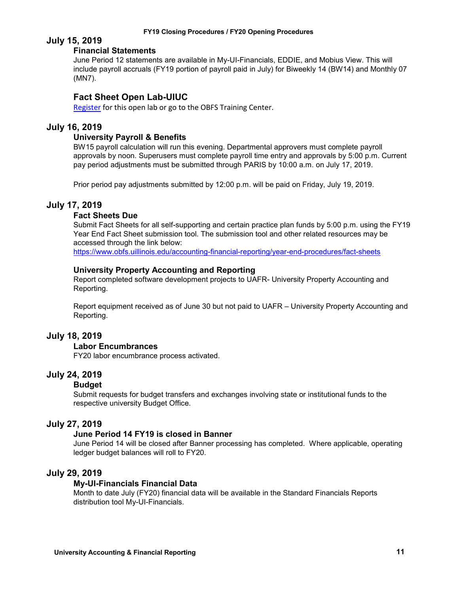#### **July 15, 2019**

#### **Financial Statements**

June Period 12 statements are available in My-UI-Financials, EDDIE, and Mobius View. This will include payroll accruals (FY19 portion of payroll paid in July) for Biweekly 14 (BW14) and Monthly 07 (MN7).

#### **Fact Sheet Open Lab-UIUC**

[Register](https://www.obfs.uillinois.edu/training/registration/) for this open lab or go to the OBFS Training Center.

#### **July 16, 2019**

#### **University Payroll & Benefits**

BW15 payroll calculation will run this evening. Departmental approvers must complete payroll approvals by noon. Superusers must complete payroll time entry and approvals by 5:00 p.m. Current pay period adjustments must be submitted through PARIS by 10:00 a.m. on July 17, 2019.

Prior period pay adjustments submitted by 12:00 p.m. will be paid on Friday, July 19, 2019.

#### **July 17, 2019**

#### **Fact Sheets Due**

Submit Fact Sheets for all self-supporting and certain practice plan funds by 5:00 p.m. using the FY19 Year End Fact Sheet submission tool. The submission tool and other related resources may be accessed through the link below:

<https://www.obfs.uillinois.edu/accounting-financial-reporting/year-end-procedures/fact-sheets>

#### **University Property Accounting and Reporting**

Report completed software development projects to UAFR- University Property Accounting and Reporting.

Report equipment received as of June 30 but not paid to UAFR – University Property Accounting and Reporting.

#### **July 18, 2019**

#### **Labor Encumbrances**

FY20 labor encumbrance process activated.

#### **July 24, 2019**

#### **Budget**

Submit requests for budget transfers and exchanges involving state or institutional funds to the respective university Budget Office.

#### **July 27, 2019**

#### **June Period 14 FY19 is closed in Banner**

June Period 14 will be closed after Banner processing has completed. Where applicable, operating ledger budget balances will roll to FY20.

#### **July 29, 2019**

#### **My-UI-Financials Financial Data**

Month to date July (FY20) financial data will be available in the Standard Financials Reports distribution tool My-UI-Financials.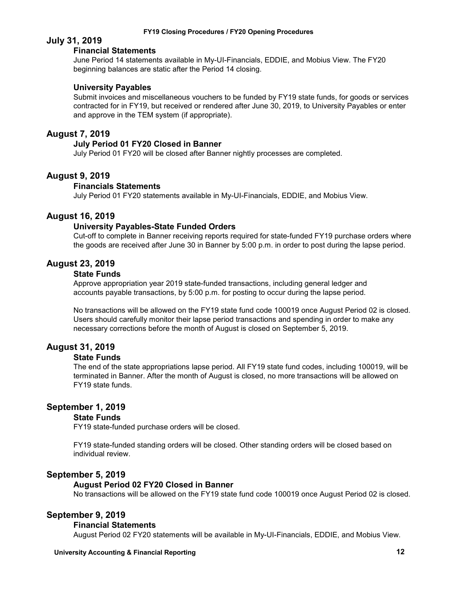#### **July 31, 2019**

#### **Financial Statements**

June Period 14 statements available in My-UI-Financials, EDDIE, and Mobius View. The FY20 beginning balances are static after the Period 14 closing.

#### **University Payables**

Submit invoices and miscellaneous vouchers to be funded by FY19 state funds, for goods or services contracted for in FY19, but received or rendered after June 30, 2019, to University Payables or enter and approve in the TEM system (if appropriate).

#### **August 7, 2019**

#### **July Period 01 FY20 Closed in Banner**

July Period 01 FY20 will be closed after Banner nightly processes are completed.

#### **August 9, 2019**

#### **Financials Statements**

July Period 01 FY20 statements available in My-UI-Financials, EDDIE, and Mobius View.

#### **August 16, 2019**

#### **University Payables-State Funded Orders**

Cut-off to complete in Banner receiving reports required for state-funded FY19 purchase orders where the goods are received after June 30 in Banner by 5:00 p.m. in order to post during the lapse period.

#### **August 23, 2019**

#### **State Funds**

Approve appropriation year 2019 state-funded transactions, including general ledger and accounts payable transactions, by 5:00 p.m. for posting to occur during the lapse period.

No transactions will be allowed on the FY19 state fund code 100019 once August Period 02 is closed. Users should carefully monitor their lapse period transactions and spending in order to make any necessary corrections before the month of August is closed on September 5, 2019.

#### **August 31, 2019**

#### **State Funds**

The end of the state appropriations lapse period. All FY19 state fund codes, including 100019, will be terminated in Banner. After the month of August is closed, no more transactions will be allowed on FY19 state funds.

#### **September 1, 2019**

#### **State Funds**

FY19 state-funded purchase orders will be closed.

FY19 state-funded standing orders will be closed. Other standing orders will be closed based on individual review.

#### **September 5, 2019**

#### **August Period 02 FY20 Closed in Banner**

No transactions will be allowed on the FY19 state fund code 100019 once August Period 02 is closed.

#### **September 9, 2019**

#### **Financial Statements**

August Period 02 FY20 statements will be available in My-UI-Financials, EDDIE, and Mobius View.

#### **University Accounting & Financial Reporting 12**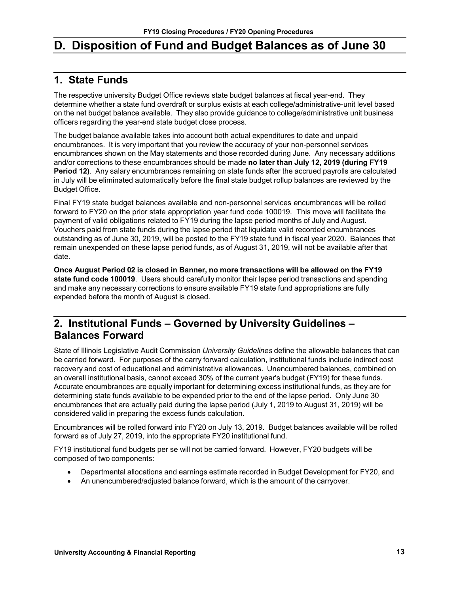# <span id="page-14-3"></span><span id="page-14-0"></span>**D. Disposition of Fund and Budget Balances as of June 30**

### <span id="page-14-1"></span>**1. State Funds**

The respective university Budget Office reviews state budget balances at fiscal year-end. They determine whether a state fund overdraft or surplus exists at each college/administrative-unit level based on the net budget balance available. They also provide guidance to college/administrative unit business officers regarding the year-end state budget close process.

The budget balance available takes into account both actual expenditures to date and unpaid encumbrances. It is very important that you review the accuracy of your non-personnel services encumbrances shown on the May statements and those recorded during June. Any necessary additions and/or corrections to these encumbrances should be made **no later than July 12, 2019 (during FY19 Period 12)**. Any salary encumbrances remaining on state funds after the accrued payrolls are calculated in July will be eliminated automatically before the final state budget rollup balances are reviewed by the Budget Office.

Final FY19 state budget balances available and non-personnel services encumbrances will be rolled forward to FY20 on the prior state appropriation year fund code 100019. This move will facilitate the payment of valid obligations related to FY19 during the lapse period months of July and August. Vouchers paid from state funds during the lapse period that liquidate valid recorded encumbrances outstanding as of June 30, 2019, will be posted to the FY19 state fund in fiscal year 2020. Balances that remain unexpended on these lapse period funds, as of August 31, 2019, will not be available after that date.

**Once August Period 02 is closed in Banner, no more transactions will be allowed on the FY19 state fund code 100019**. Users should carefully monitor their lapse period transactions and spending and make any necessary corrections to ensure available FY19 state fund appropriations are fully expended before the month of August is closed.

### <span id="page-14-2"></span>**2. Institutional Funds – Governed by University Guidelines – Balances Forward**

State of Illinois Legislative Audit Commission *University Guidelines* define the allowable balances that can be carried forward. For purposes of the carry forward calculation, institutional funds include indirect cost recovery and cost of educational and administrative allowances. Unencumbered balances, combined on an overall institutional basis, cannot exceed 30% of the current year's budget (FY19) for these funds. Accurate encumbrances are equally important for determining excess institutional funds, as they are for determining state funds available to be expended prior to the end of the lapse period. Only June 30 encumbrances that are actually paid during the lapse period (July 1, 2019 to August 31, 2019) will be considered valid in preparing the excess funds calculation.

Encumbrances will be rolled forward into FY20 on July 13, 2019. Budget balances available will be rolled forward as of July 27, 2019, into the appropriate FY20 institutional fund.

FY19 institutional fund budgets per se will not be carried forward. However, FY20 budgets will be composed of two components:

- Departmental allocations and earnings estimate recorded in Budget Development for FY20, and
- An unencumbered/adjusted balance forward, which is the amount of the carryover.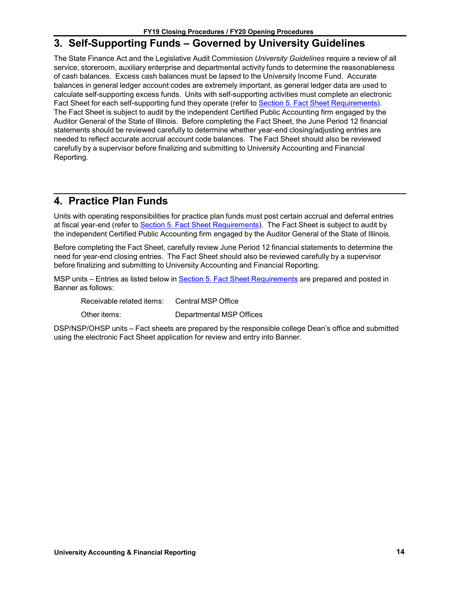### <span id="page-15-0"></span>**3. Self-Supporting Funds – Governed by University Guidelines**

The State Finance Act and the Legislative Audit Commission *University Guidelines* require a review of all service, storeroom, auxiliary enterprise and departmental activity funds to determine the reasonableness of cash balances. Excess cash balances must be lapsed to the University Income Fund. Accurate balances in general ledger account codes are extremely important, as general ledger data are used to calculate self-supporting excess funds. Units with self-supporting activities must complete an electronic Fact Sheet for each self-supporting fund they operate (refer to Section 5. Fact Sheet [Requirements\)](#page-16-0). The Fact Sheet is subject to audit by the independent Certified Public Accounting firm engaged by the Auditor General of the State of Illinois. Before completing the Fact Sheet, the June Period 12 financial statements should be reviewed carefully to determine whether year-end closing/adjusting entries are needed to reflect accurate accrual account code balances. The Fact Sheet should also be reviewed carefully by a supervisor before finalizing and submitting to University Accounting and Financial Reporting.

### <span id="page-15-1"></span>**4. Practice Plan Funds**

Units with operating responsibilities for practice plan funds must post certain accrual and deferral entries at fiscal year-end (refer to Section 5. Fact Sheet [Requirements\)](#page-16-0). The Fact Sheet is subject to audit by the independent Certified Public Accounting firm engaged by the Auditor General of the State of Illinois.

Before completing the Fact Sheet, carefully review June Period 12 financial statements to determine the need for year-end closing entries. The Fact Sheet should also be reviewed carefully by a supervisor before finalizing and submitting to University Accounting and Financial Reporting.

MSP units – Entries as listed below in Section 5. Fact Sheet [Requirements](#page-16-0) are prepared and posted in Banner as follows:

Receivable related items: Central MSP Office

Other items: Departmental MSP Offices

DSP/NSP/OHSP units – Fact sheets are prepared by the responsible college Dean's office and submitted using the electronic Fact Sheet application for review and entry into Banner.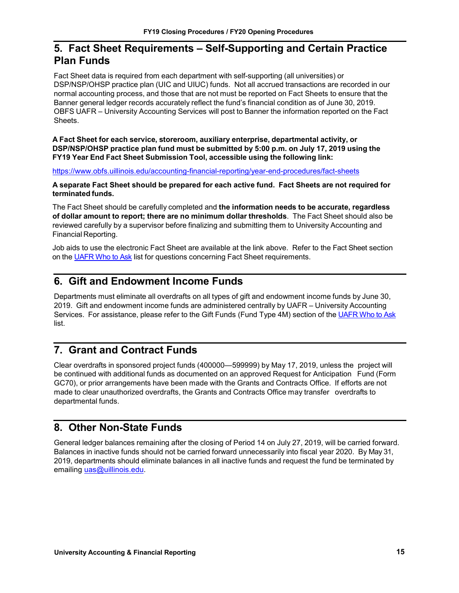### <span id="page-16-0"></span>**5. Fact Sheet Requirements – Self-Supporting and Certain Practice Plan Funds**

Fact Sheet data is required from each department with self-supporting (all universities) or DSP/NSP/OHSP practice plan (UIC and UIUC) funds. Not all accrued transactions are recorded in our normal accounting process, and those that are not must be reported on Fact Sheets to ensure that the Banner general ledger records accurately reflect the fund's financial condition as of June 30, 2019. OBFS UAFR – University Accounting Services will post to Banner the information reported on the Fact Sheets.

**A Fact Sheet for each service, storeroom, auxiliary enterprise, departmental activity, or DSP/NSP/OHSP practice plan fund must be submitted by 5:00 p.m. on July 17, 2019 using the FY19 Year End Fact Sheet Submission Tool, accessible using the following link:**

<https://www.obfs.uillinois.edu/accounting-financial-reporting/year-end-procedures/fact-sheets>

**A separate Fact Sheet should be prepared for each active fund. Fact Sheets are not required for terminated funds.**

The Fact Sheet should be carefully completed and **the information needs to be accurate, regardless of dollar amount to report; there are no minimum dollar thresholds**. The Fact Sheet should also be reviewed carefully by a supervisor before finalizing and submitting them to University Accounting and Financial Reporting.

Job aids to use the electronic Fact Sheet are available at the link above. Refer to the Fact Sheet section on the [UAFR Who to Ask](https://www.obfs.uillinois.edu/accounting-financial-reporting/who-to-ask/types-questions#fact-sheets) list for questions concerning Fact Sheet requirements.

### <span id="page-16-1"></span>**6. Gift and Endowment Income Funds**

Departments must eliminate all overdrafts on all types of gift and endowment income funds by June 30, 2019. Gift and endowment income funds are administered centrally by UAFR – University Accounting Services. For assistance, please refer to the Gift Funds (Fund Type 4M) section of the [UAFR Who to Ask](https://www.obfs.uillinois.edu/accounting-financial-reporting/who-to-ask/types-questions#gift-funds-4m) list.

### <span id="page-16-2"></span>**7. Grant and Contract Funds**

Clear overdrafts in sponsored project funds (400000—599999) by May 17, 2019, unless the project will be continued with additional funds as documented on an approved Request for Anticipation Fund (Form GC70), or prior arrangements have been made with the Grants and Contracts Office. If efforts are not made to clear unauthorized overdrafts, the Grants and Contracts Office may transfer overdrafts to departmental funds.

### <span id="page-16-3"></span>**8. Other Non-State Funds**

General ledger balances remaining after the closing of Period 14 on July 27, 2019, will be carried forward. Balances in inactive funds should not be carried forward unnecessarily into fiscal year 2020. By May 31, 2019, departments should eliminate balances in all inactive funds and request the fund be terminated by emailing [uas@uillinois.edu.](mailto:uas@uillinois.edu)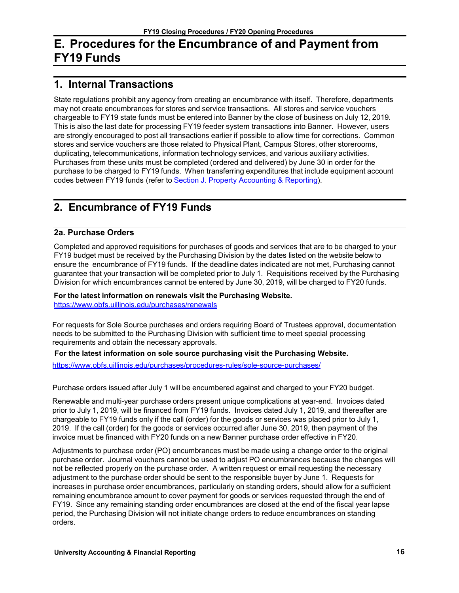# <span id="page-17-0"></span>**E. Procedures for the Encumbrance of and Payment from FY19 Funds**

### <span id="page-17-1"></span>**1. Internal Transactions**

State regulations prohibit any agency from creating an encumbrance with itself. Therefore, departments may not create encumbrances for stores and service transactions. All stores and service vouchers chargeable to FY19 state funds must be entered into Banner by the close of business on July 12, 2019. This is also the last date for processing FY19 feeder system transactions into Banner. However, users are strongly encouraged to post all transactions earlier if possible to allow time for corrections. Common stores and service vouchers are those related to Physical Plant, Campus Stores, other storerooms, duplicating, telecommunications, information technology services, and various auxiliary activities. Purchases from these units must be completed (ordered and delivered) by June 30 in order for the purchase to be charged to FY19 funds. When transferring expenditures that include equipment account codes between FY19 funds (refer to Section J. [Property Accounting & Reporting\)](#page-21-0).

### <span id="page-17-2"></span>**2. Encumbrance of FY19 Funds**

#### **2a. Purchase Orders**

Completed and approved requisitions for purchases of goods and services that are to be charged to your FY19 budget must be received by the Purchasing Division by the dates listed on the website below to ensure the encumbrance of FY19 funds. If the deadline dates indicated are not met, Purchasing cannot guarantee that your transaction will be completed prior to July 1. Requisitions received by the Purchasing Division for which encumbrances cannot be entered by June 30, 2019, will be charged to FY20 funds.

**For the latest information on renewals visit the Purchasing Website.** <https://www.obfs.uillinois.edu/purchases/renewals>

For requests for Sole Source purchases and orders requiring Board of Trustees approval, documentation needs to be submitted to the Purchasing Division with sufficient time to meet special processing requirements and obtain the necessary approvals.

#### **For the latest information on sole source purchasing visit the Purchasing Website.**

<https://www.obfs.uillinois.edu/purchases/procedures-rules/sole-source-purchases/>

Purchase orders issued after July 1 will be encumbered against and charged to your FY20 budget.

Renewable and multi-year purchase orders present unique complications at year-end. Invoices dated prior to July 1, 2019, will be financed from FY19 funds. Invoices dated July 1, 2019, and thereafter are chargeable to FY19 funds only if the call (order) for the goods or services was placed prior to July 1, 2019. If the call (order) for the goods or services occurred after June 30, 2019, then payment of the invoice must be financed with FY20 funds on a new Banner purchase order effective in FY20.

Adjustments to purchase order (PO) encumbrances must be made using a change order to the original purchase order. Journal vouchers cannot be used to adjust PO encumbrances because the changes will not be reflected properly on the purchase order. A written request or email requesting the necessary adjustment to the purchase order should be sent to the responsible buyer by June 1. Requests for increases in purchase order encumbrances, particularly on standing orders, should allow for a sufficient remaining encumbrance amount to cover payment for goods or services requested through the end of FY19. Since any remaining standing order encumbrances are closed at the end of the fiscal year lapse period, the Purchasing Division will not initiate change orders to reduce encumbrances on standing orders.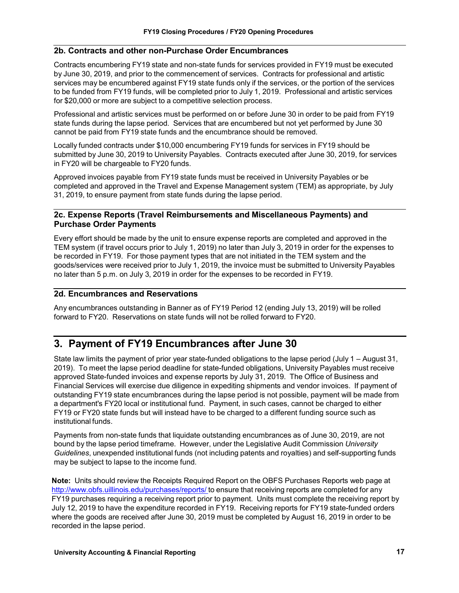#### **2b. Contracts and other non-Purchase Order Encumbrances**

Contracts encumbering FY19 state and non-state funds for services provided in FY19 must be executed by June 30, 2019, and prior to the commencement of services. Contracts for professional and artistic services may be encumbered against FY19 state funds only if the services, or the portion of the services to be funded from FY19 funds, will be completed prior to July 1, 2019. Professional and artistic services for \$20,000 or more are subject to a competitive selection process.

Professional and artistic services must be performed on or before June 30 in order to be paid from FY19 state funds during the lapse period. Services that are encumbered but not yet performed by June 30 cannot be paid from FY19 state funds and the encumbrance should be removed.

Locally funded contracts under \$10,000 encumbering FY19 funds for services in FY19 should be submitted by June 30, 2019 to University Payables. Contracts executed after June 30, 2019, for services in FY20 will be chargeable to FY20 funds.

Approved invoices payable from FY19 state funds must be received in University Payables or be completed and approved in the Travel and Expense Management system (TEM) as appropriate, by July 31, 2019, to ensure payment from state funds during the lapse period.

#### **2c. Expense Reports (Travel Reimbursements and Miscellaneous Payments) and Purchase Order Payments**

Every effort should be made by the unit to ensure expense reports are completed and approved in the TEM system (if travel occurs prior to July 1, 2019) no later than July 3, 2019 in order for the expenses to be recorded in FY19. For those payment types that are not initiated in the TEM system and the goods/services were received prior to July 1, 2019, the invoice must be submitted to University Payables no later than 5 p.m. on July 3, 2019 in order for the expenses to be recorded in FY19.

#### **2d. Encumbrances and Reservations**

Any encumbrances outstanding in Banner as of FY19 Period 12 (ending July 13, 2019) will be rolled forward to FY20. Reservations on state funds will not be rolled forward to FY20.

### <span id="page-18-0"></span>**3. Payment of FY19 Encumbrances after June 30**

State law limits the payment of prior year state-funded obligations to the lapse period (July 1 – August 31, 2019). To meet the lapse period deadline for state-funded obligations, University Payables must receive approved State-funded invoices and expense reports by July 31, 2019. The Office of Business and Financial Services will exercise due diligence in expediting shipments and vendor invoices. If payment of outstanding FY19 state encumbrances during the lapse period is not possible, payment will be made from a department's FY20 local or institutional fund. Payment, in such cases, cannot be charged to either FY19 or FY20 state funds but will instead have to be charged to a different funding source such as institutional funds.

Payments from non-state funds that liquidate outstanding encumbrances as of June 30, 2019, are not bound by the lapse period timeframe. However, under the Legislative Audit Commission *University Guidelines*, unexpended institutional funds (not including patents and royalties) and self-supporting funds may be subject to lapse to the income fund.

**Note:** Units should review the Receipts Required Report on the OBFS Purchases Reports web page at <http://www.obfs.uillinois.edu/purchases/reports/> to ensure that receiving reports are completed for any FY19 purchases requiring a receiving report prior to payment. Units must complete the receiving report by July 12, 2019 to have the expenditure recorded in FY19. Receiving reports for FY19 state-funded orders where the goods are received after June 30, 2019 must be completed by August 16, 2019 in order to be recorded in the lapse period.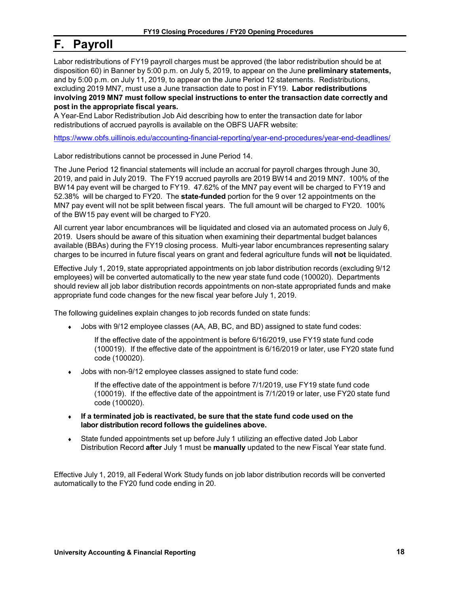## <span id="page-19-0"></span>**F. Payroll**

Labor redistributions of FY19 payroll charges must be approved (the labor redistribution should be at disposition 60) in Banner by 5:00 p.m. on July 5, 2019, to appear on the June **preliminary statements,** and by 5:00 p.m. on July 11, 2019, to appear on the June Period 12 statements. Redistributions, excluding 2019 MN7, must use a June transaction date to post in FY19. **Labor redistributions involving 2019 MN7 must follow special instructions to enter the transaction date correctly and post in the appropriate fiscal years.**

A Year-End Labor Redistribution Job Aid describing how to enter the transaction date for labor redistributions of accrued payrolls is available on the OBFS UAFR website:

<https://www.obfs.uillinois.edu/accounting-financial-reporting/year-end-procedures/year-end-deadlines/>

Labor redistributions cannot be processed in June Period 14.

The June Period 12 financial statements will include an accrual for payroll charges through June 30, 2019, and paid in July 2019. The FY19 accrued payrolls are 2019 BW14 and 2019 MN7. 100% of the BW14 pay event will be charged to FY19. 47.62% of the MN7 pay event will be charged to FY19 and 52.38% will be charged to FY20. The **state-funded** portion for the 9 over 12 appointments on the MN7 pay event will not be split between fiscal years. The full amount will be charged to FY20. 100% of the BW15 pay event will be charged to FY20.

All current year labor encumbrances will be liquidated and closed via an automated process on July 6, 2019. Users should be aware of this situation when examining their departmental budget balances available (BBAs) during the FY19 closing process. Multi-year labor encumbrances representing salary charges to be incurred in future fiscal years on grant and federal agriculture funds will **not** be liquidated.

Effective July 1, 2019, state appropriated appointments on job labor distribution records (excluding 9/12 employees) will be converted automatically to the new year state fund code (100020). Departments should review all job labor distribution records appointments on non-state appropriated funds and make appropriate fund code changes for the new fiscal year before July 1, 2019.

The following guidelines explain changes to job records funded on state funds:

• Jobs with 9/12 employee classes (AA, AB, BC, and BD) assigned to state fund codes:

If the effective date of the appointment is before 6/16/2019, use FY19 state fund code (100019). If the effective date of the appointment is 6/16/2019 or later, use FY20 state fund code (100020).

Jobs with non-9/12 employee classes assigned to state fund code:

If the effective date of the appointment is before 7/1/2019, use FY19 state fund code (100019). If the effective date of the appointment is 7/1/2019 or later, use FY20 state fund code (100020).

- ♦ **If a terminated job is reactivated, be sure that the state fund code used on the labor distribution record follows the guidelines above.**
- ♦ State funded appointments set up before July 1 utilizing an effective dated Job Labor Distribution Record **after** July 1 must be **manually** updated to the new Fiscal Year state fund.

Effective July 1, 2019, all Federal Work Study funds on job labor distribution records will be converted automatically to the FY20 fund code ending in 20.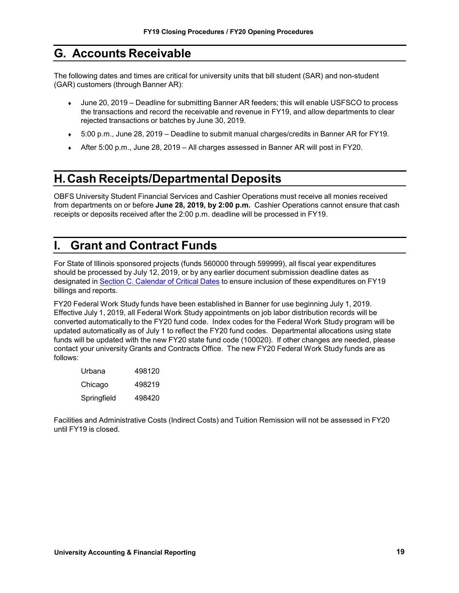### <span id="page-20-0"></span>**G. Accounts Receivable**

The following dates and times are critical for university units that bill student (SAR) and non-student (GAR) customers (through Banner AR):

- June 20, 2019 Deadline for submitting Banner AR feeders; this will enable USFSCO to process the transactions and record the receivable and revenue in FY19, and allow departments to clear rejected transactions or batches by June 30, 2019.
- ♦ 5:00 p.m., June 28, 2019 Deadline to submit manual charges/credits in Banner AR for FY19.
- ♦ After 5:00 p.m., June 28, 2019 All charges assessed in Banner AR will post in FY20.

# <span id="page-20-1"></span>**H.Cash Receipts/Departmental Deposits**

OBFS University Student Financial Services and Cashier Operations must receive all monies received from departments on or before **June 28, 2019, by 2:00 p.m.** Cashier Operations cannot ensure that cash receipts or deposits received after the 2:00 p.m. deadline will be processed in FY19.

# <span id="page-20-2"></span>**I. Grant and Contract Funds**

For State of Illinois sponsored projects (funds 560000 through 599999), all fiscal year expenditures should be processed by July 12, 2019, or by any earlier document submission deadline dates as designated in Section C. [Calendar](#page-6-0) of Critical Dates to ensure inclusion of these expenditures on FY19 billings and reports.

FY20 Federal Work Study funds have been established in Banner for use beginning July 1, 2019. Effective July 1, 2019, all Federal Work Study appointments on job labor distribution records will be converted automatically to the FY20 fund code. Index codes for the Federal Work Study program will be updated automatically as of July 1 to reflect the FY20 fund codes. Departmental allocations using state funds will be updated with the new FY20 state fund code (100020). If other changes are needed, please contact your university Grants and Contracts Office. The new FY20 Federal Work Study funds are as follows:

| Urbana      | 498120 |
|-------------|--------|
| Chicago     | 498219 |
| Springfield | 498420 |

Facilities and Administrative Costs (Indirect Costs) and Tuition Remission will not be assessed in FY20 until FY19 is closed.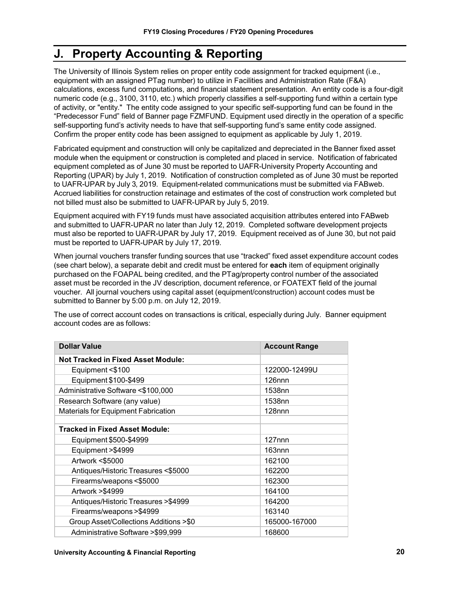# <span id="page-21-0"></span>**J. Property Accounting & Reporting**

The University of Illinois System relies on proper entity code assignment for tracked equipment (i.e., equipment with an assigned PTag number) to utilize in Facilities and Administration Rate (F&A) calculations, excess fund computations, and financial statement presentation. An entity code is a four-digit numeric code (e.g., 3100, 3110, etc.) which properly classifies a self-supporting fund within a certain type of activity, or "entity." The entity code assigned to your specific self-supporting fund can be found in the "Predecessor Fund" field of Banner page FZMFUND. Equipment used directly in the operation of a specific self-supporting fund's activity needs to have that self-supporting fund's same entity code assigned. Confirm the proper entity code has been assigned to equipment as applicable by July 1, 2019.

Fabricated equipment and construction will only be capitalized and depreciated in the Banner fixed asset module when the equipment or construction is completed and placed in service. Notification of fabricated equipment completed as of June 30 must be reported to UAFR-University Property Accounting and Reporting (UPAR) by July 1, 2019. Notification of construction completed as of June 30 must be reported to UAFR-UPAR by July 3, 2019. Equipment-related communications must be submitted via FABweb. Accrued liabilities for construction retainage and estimates of the cost of construction work completed but not billed must also be submitted to UAFR-UPAR by July 5, 2019.

Equipment acquired with FY19 funds must have associated acquisition attributes entered into FABweb and submitted to UAFR-UPAR no later than July 12, 2019. Completed software development projects must also be reported to UAFR-UPAR by July 17, 2019. Equipment received as of June 30, but not paid must be reported to UAFR-UPAR by July 17, 2019.

When journal vouchers transfer funding sources that use "tracked" fixed asset expenditure account codes (see chart below), a separate debit and credit must be entered for **each** item of equipment originally purchased on the FOAPAL being credited, and the PTag/property control number of the associated asset must be recorded in the JV description, document reference, or FOATEXT field of the journal voucher. All journal vouchers using capital asset (equipment/construction) account codes must be submitted to Banner by 5:00 p.m. on July 12, 2019.

The use of correct account codes on transactions is critical, especially during July. Banner equipment account codes are as follows:

| <b>Dollar Value</b>                        | <b>Account Range</b> |
|--------------------------------------------|----------------------|
| <b>Not Tracked in Fixed Asset Module:</b>  |                      |
| Equipment <\$100                           | 122000-12499U        |
| Equipment \$100-\$499                      | 126 <sub>nnn</sub>   |
| Administrative Software <\$100,000         | 1538nn               |
| Research Software (any value)              | 1538nn               |
| <b>Materials for Equipment Fabrication</b> | $128$ nnn            |
|                                            |                      |
| Tracked in Fixed Asset Module:             |                      |
| Equipment \$500-\$4999                     | $127$ nnn            |
| Equipment > \$4999                         | 163nnn               |
| Artwork <\$5000                            | 162100               |
| Antiques/Historic Treasures <\$5000        | 162200               |
| Firearms/weapons <\$5000                   | 162300               |
| Artwork > \$4999                           | 164100               |
| Antiques/Historic Treasures >\$4999        | 164200               |
| Firearms/weapons > \$4999                  | 163140               |
| Group Asset/Collections Additions >\$0     | 165000-167000        |
| Administrative Software > \$99,999         | 168600               |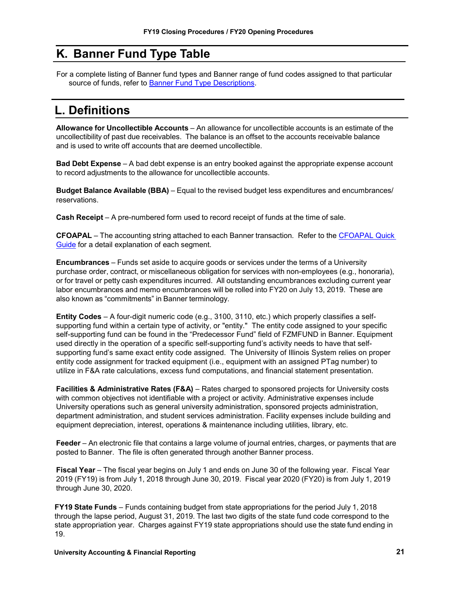# <span id="page-22-0"></span>**K. Banner Fund Type Table**

 For a complete listing of Banner fund types and Banner range of fund codes assigned to that particular source of funds, refer to [Banner Fund Type Descriptions.](https://www.obfs.uillinois.edu/training/materials/intro-banner-finance/fund-type-descriptions/)

# **L. Definitions**

**Allowance for Uncollectible Accounts** – An allowance for uncollectible accounts is an estimate of the uncollectibility of past due receivables. The balance is an offset to the accounts receivable balance and is used to write off accounts that are deemed uncollectible.

**Bad Debt Expense** – A bad debt expense is an entry booked against the appropriate expense account to record adjustments to the allowance for uncollectible accounts.

**Budget Balance Available (BBA)** – Equal to the revised budget less expenditures and encumbrances/ reservations.

**Cash Receipt** – A pre-numbered form used to record receipt of funds at the time of sale.

**CFOAPAL** – The accounting string attached to each Banner transaction. Refer to the [CFOAPAL Quick](https://www.obfs.uillinois.edu/training/materials/intro-banner-finance/c-foapal-quick-guide/)  [Guide](https://www.obfs.uillinois.edu/training/materials/intro-banner-finance/c-foapal-quick-guide/) for a detail explanation of each segment.

**Encumbrances** – Funds set aside to acquire goods or services under the terms of a University purchase order, contract, or miscellaneous obligation for services with non-employees (e.g., honoraria), or for travel or petty cash expenditures incurred. All outstanding encumbrances excluding current year labor encumbrances and memo encumbrances will be rolled into FY20 on July 13, 2019. These are also known as "commitments" in Banner terminology.

**Entity Codes** – A four-digit numeric code (e.g., 3100, 3110, etc.) which properly classifies a selfsupporting fund within a certain type of activity, or "entity." The entity code assigned to your specific self-supporting fund can be found in the "Predecessor Fund" field of FZMFUND in Banner. Equipment used directly in the operation of a specific self-supporting fund's activity needs to have that selfsupporting fund's same exact entity code assigned. The University of Illinois System relies on proper entity code assignment for tracked equipment (i.e., equipment with an assigned PTag number) to utilize in F&A rate calculations, excess fund computations, and financial statement presentation.

**Facilities & Administrative Rates (F&A)** – Rates charged to sponsored projects for University costs with common objectives not identifiable with a project or activity. Administrative expenses include University operations such as general university administration, sponsored projects administration, department administration, and student services administration. Facility expenses include building and equipment depreciation, interest, operations & maintenance including utilities, library, etc.

**Feeder** – An electronic file that contains a large volume of journal entries, charges, or payments that are posted to Banner. The file is often generated through another Banner process.

**Fiscal Year** – The fiscal year begins on July 1 and ends on June 30 of the following year. Fiscal Year 2019 (FY19) is from July 1, 2018 through June 30, 2019. Fiscal year 2020 (FY20) is from July 1, 2019 through June 30, 2020.

**FY19 State Funds** – Funds containing budget from state appropriations for the period July 1, 2018 through the lapse period, August 31, 2019. The last two digits of the state fund code correspond to the state appropriation year. Charges against FY19 state appropriations should use the state fund ending in 19.